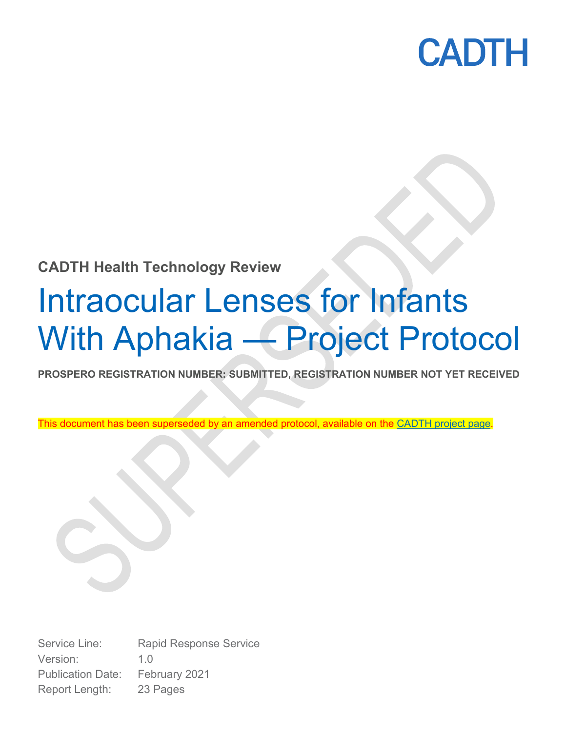

## **CADTH Health Technology Review**

# Intraocular Lenses for Infants With Aphakia — Project Protocol

**PROSPERO REGISTRATION NUMBER: SUBMITTED, REGISTRATION NUMBER NOT YET RECEIVED**

This document has been superseded by an amended protocol, available on the [CADTH project page.](https://cadth.ca/intraocular-lens-implantation-infants-aphakia-systematic-review-clinical-effectiveness-and-cost)

Service Line: Rapid Response Service Version: 1.0 Publication Date: February 2021 Report Length: 23 Pages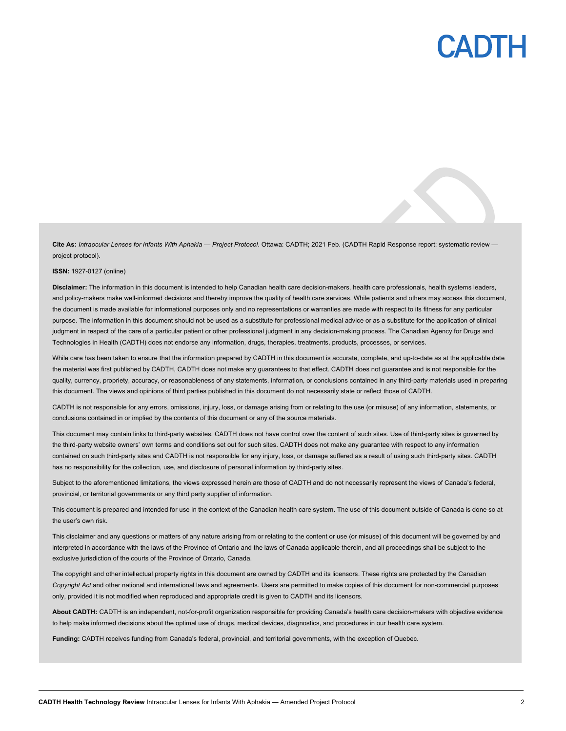

**Cite As:** *Intraocular Lenses for Infants With Aphakia — Project Protocol*. Ottawa: CADTH; 2021 Feb. (CADTH Rapid Response report: systematic review project protocol).

#### **ISSN:** 1927-0127 (online)

**Disclaimer:** The information in this document is intended to help Canadian health care decision-makers, health care professionals, health systems leaders, and policy-makers make well-informed decisions and thereby improve the quality of health care services. While patients and others may access this document, the document is made available for informational purposes only and no representations or warranties are made with respect to its fitness for any particular purpose. The information in this document should not be used as a substitute for professional medical advice or as a substitute for the application of clinical judgment in respect of the care of a particular patient or other professional judgment in any decision-making process. The Canadian Agency for Drugs and Technologies in Health (CADTH) does not endorse any information, drugs, therapies, treatments, products, processes, or services.

While care has been taken to ensure that the information prepared by CADTH in this document is accurate, complete, and up-to-date as at the applicable date the material was first published by CADTH, CADTH does not make any guarantees to that effect. CADTH does not guarantee and is not responsible for the quality, currency, propriety, accuracy, or reasonableness of any statements, information, or conclusions contained in any third-party materials used in preparing this document. The views and opinions of third parties published in this document do not necessarily state or reflect those of CADTH.

CADTH is not responsible for any errors, omissions, injury, loss, or damage arising from or relating to the use (or misuse) of any information, statements, or conclusions contained in or implied by the contents of this document or any of the source materials.

This document may contain links to third-party websites. CADTH does not have control over the content of such sites. Use of third-party sites is governed by the third-party website owners' own terms and conditions set out for such sites. CADTH does not make any guarantee with respect to any information contained on such third-party sites and CADTH is not responsible for any injury, loss, or damage suffered as a result of using such third-party sites. CADTH has no responsibility for the collection, use, and disclosure of personal information by third-party sites.

Subject to the aforementioned limitations, the views expressed herein are those of CADTH and do not necessarily represent the views of Canada's federal, provincial, or territorial governments or any third party supplier of information.

This document is prepared and intended for use in the context of the Canadian health care system. The use of this document outside of Canada is done so at the user's own risk.

This disclaimer and any questions or matters of any nature arising from or relating to the content or use (or misuse) of this document will be governed by and interpreted in accordance with the laws of the Province of Ontario and the laws of Canada applicable therein, and all proceedings shall be subject to the exclusive jurisdiction of the courts of the Province of Ontario, Canada.

The copyright and other intellectual property rights in this document are owned by CADTH and its licensors. These rights are protected by the Canadian *Copyright Act* and other national and international laws and agreements. Users are permitted to make copies of this document for non-commercial purposes only, provided it is not modified when reproduced and appropriate credit is given to CADTH and its licensors.

**About CADTH:** CADTH is an independent, not-for-profit organization responsible for providing Canada's health care decision-makers with objective evidence to help make informed decisions about the optimal use of drugs, medical devices, diagnostics, and procedures in our health care system.

**Funding:** CADTH receives funding from Canada's federal, provincial, and territorial governments, with the exception of Quebec.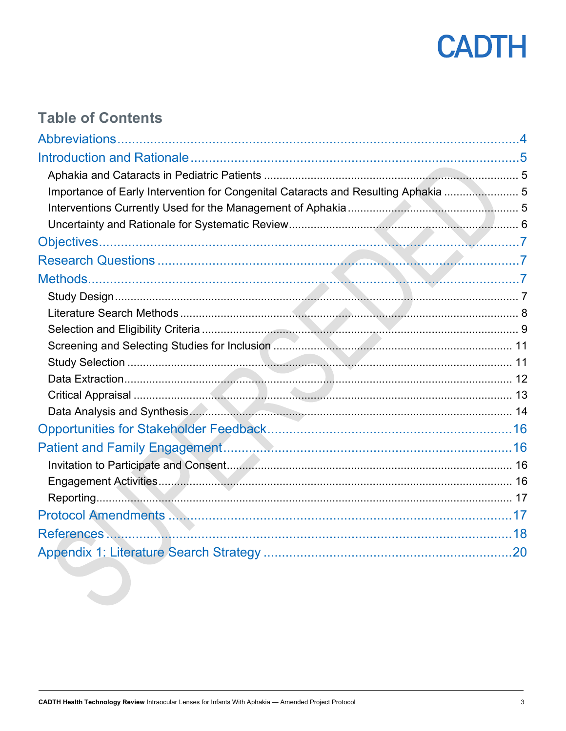

## **Table of Contents**

| Importance of Early Intervention for Congenital Cataracts and Resulting Aphakia  5 |  |
|------------------------------------------------------------------------------------|--|
|                                                                                    |  |
|                                                                                    |  |
|                                                                                    |  |
|                                                                                    |  |
|                                                                                    |  |
|                                                                                    |  |
|                                                                                    |  |
|                                                                                    |  |
|                                                                                    |  |
|                                                                                    |  |
|                                                                                    |  |
|                                                                                    |  |
|                                                                                    |  |
|                                                                                    |  |
|                                                                                    |  |
|                                                                                    |  |
|                                                                                    |  |
|                                                                                    |  |
|                                                                                    |  |
|                                                                                    |  |
|                                                                                    |  |
|                                                                                    |  |
|                                                                                    |  |
|                                                                                    |  |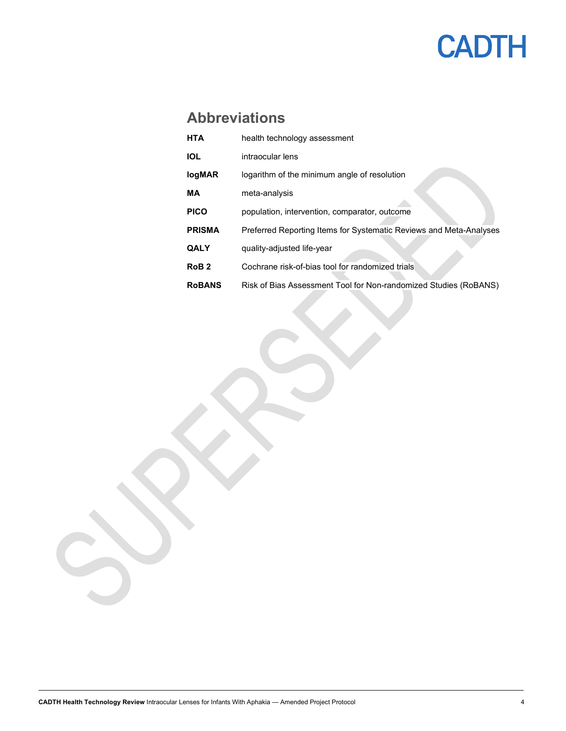## **CADTH**

## <span id="page-3-0"></span>**Abbreviations**

| <b>HTA</b>       | health technology assessment                                       |
|------------------|--------------------------------------------------------------------|
| <b>IOL</b>       | intraocular lens                                                   |
| logMAR           | logarithm of the minimum angle of resolution                       |
| МA               | meta-analysis                                                      |
| <b>PICO</b>      | population, intervention, comparator, outcome                      |
| <b>PRISMA</b>    | Preferred Reporting Items for Systematic Reviews and Meta-Analyses |
| <b>QALY</b>      | quality-adjusted life-year                                         |
| RoB <sub>2</sub> | Cochrane risk-of-bias tool for randomized trials                   |
| <b>RoBANS</b>    | Risk of Bias Assessment Tool for Non-randomized Studies (RoBANS)   |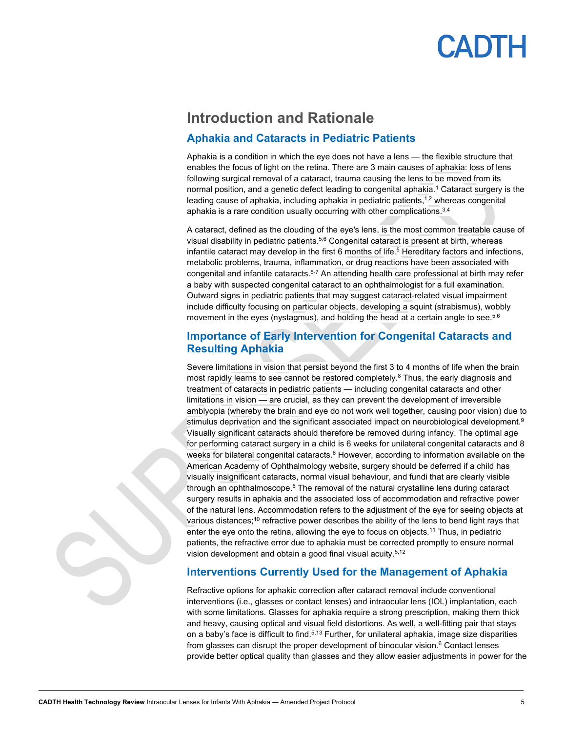## CADTH

## <span id="page-4-0"></span>**Introduction and Rationale**

#### <span id="page-4-1"></span>**Aphakia and Cataracts in Pediatric Patients**

Aphakia is a condition in which the eye does not have a lens — the flexible structure that enables the focus of light on the retina. There are 3 main causes of aphakia: loss of lens following surgical removal of a cataract, trauma causing the lens to be moved from its normal position, and a genetic defect leading to congenital aphakia.<sup>1</sup> Cataract surgery is the leading cause of aphakia, including aphakia in pediatric patients,<sup>1,2</sup> whereas congenital aphakia is a rare condition usually occurring with other complications.<sup>3,4</sup>

A cataract, defined as the clouding of the eye's lens, is the most common treatable cause of visual disability in pediatric patients. 5,6 Congenital cataract is present at birth, whereas infantile cataract may develop in the first 6 months of life.<sup>5</sup> Hereditary factors and infections, metabolic problems, trauma, inflammation, or drug reactions have been associated with congenital and infantile cataracts. 5-7 An attending health care professional at birth may refer a baby with suspected congenital cataract to an ophthalmologist for a full examination. Outward signs in pediatric patients that may suggest cataract-related visual impairment include difficulty focusing on particular objects, developing a squint (strabismus), wobbly movement in the eyes (nystagmus), and holding the head at a certain angle to see. 5,6

#### <span id="page-4-2"></span>**Importance of Early Intervention for Congenital Cataracts and Resulting Aphakia**

Severe limitations in vision that persist beyond the first 3 to 4 months of life when the brain most rapidly learns to see cannot be restored completely. <sup>8</sup> Thus, the early diagnosis and treatment of cataracts in pediatric patients — including congenital cataracts and other limitations in vision — are crucial, as they can prevent the development of irreversible amblyopia (whereby the brain and eye do not work well together, causing poor vision) due to stimulus deprivation and the significant associated impact on neurobiological development. 9 Visually significant cataracts should therefore be removed during infancy. The optimal age for performing cataract surgery in a child is 6 weeks for unilateral congenital cataracts and 8 weeks for bilateral congenital cataracts.<sup>6</sup> However, according to information available on the American Academy of Ophthalmology website, surgery should be deferred if a child has visually insignificant cataracts, normal visual behaviour, and fundi that are clearly visible through an ophthalmoscope. <sup>6</sup> The removal of the natural crystalline lens during cataract surgery results in aphakia and the associated loss of accommodation and refractive power of the natural lens. Accommodation refers to the adjustment of the eye for seeing objects at various distances; $^{\rm 10}$  refractive power describes the ability of the lens to bend light rays that enter the eye onto the retina, allowing the eye to focus on objects.<sup>11</sup> Thus, in pediatric patients, the refractive error due to aphakia must be corrected promptly to ensure normal vision development and obtain a good final visual acuity.5,12

#### <span id="page-4-3"></span>**Interventions Currently Used for the Management of Aphakia**

Refractive options for aphakic correction after cataract removal include conventional interventions (i.e., glasses or contact lenses) and intraocular lens (IOL) implantation, each with some limitations. Glasses for aphakia require a strong prescription, making them thick and heavy, causing optical and visual field distortions. As well, a well-fitting pair that stays on a baby's face is difficult to find.<sup>5,13</sup> Further, for unilateral aphakia, image size disparities from glasses can disrupt the proper development of binocular vision. $6$  Contact lenses provide better optical quality than glasses and they allow easier adjustments in power for the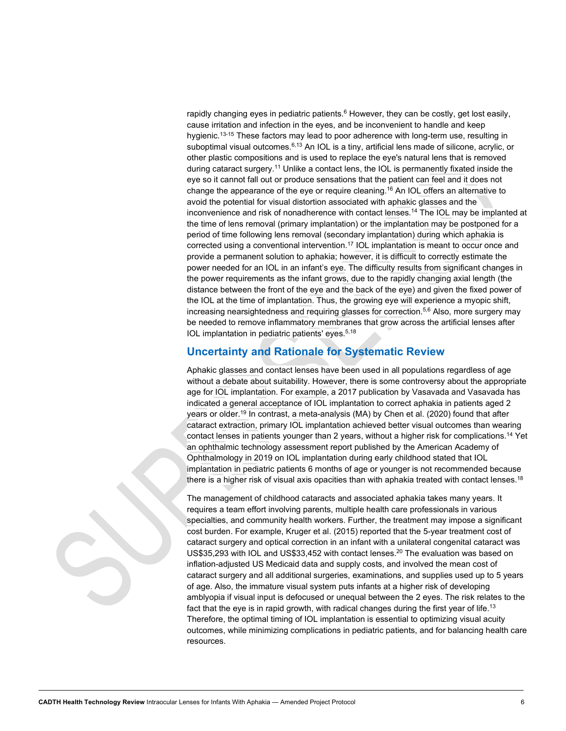rapidly changing eyes in pediatric patients.<sup>6</sup> However, they can be costly, get lost easily, cause irritation and infection in the eyes, and be inconvenient to handle and keep hygienic. 13-15 These factors may lead to poor adherence with long-term use, resulting in suboptimal visual outcomes.<sup>6,13</sup> An IOL is a tiny, artificial lens made of silicone, acrylic, or other plastic compositions and is used to replace the eye's natural lens that is removed during cataract surgery.11 Unlike a contact lens, the IOL is permanently fixated inside the eye so it cannot fall out or produce sensations that the patient can feel and it does not change the appearance of the eye or require cleaning. <sup>16</sup> An IOL offers an alternative to avoid the potential for visual distortion associated with aphakic glasses and the inconvenience and risk of nonadherence with contact lenses. <sup>14</sup> The IOL may be implanted at the time of lens removal (primary implantation) or the implantation may be postponed for a period of time following lens removal (secondary implantation) during which aphakia is corrected using a conventional intervention.17 IOL implantation is meant to occur once and provide a permanent solution to aphakia; however, it is difficult to correctly estimate the power needed for an IOL in an infant's eye. The difficulty results from significant changes in the power requirements as the infant grows, due to the rapidly changing axial length (the distance between the front of the eye and the back of the eye) and given the fixed power of the IOL at the time of implantation. Thus, the growing eye will experience a myopic shift, increasing nearsightedness and requiring glasses for correction. 5,6 Also, more surgery may be needed to remove inflammatory membranes that grow across the artificial lenses after IOL implantation in pediatric patients' eyes. 5,18

#### <span id="page-5-0"></span>**Uncertainty and Rationale for Systematic Review**

Aphakic glasses and contact lenses have been used in all populations regardless of age without a debate about suitability. However, there is some controversy about the appropriate age for IOL implantation. For example, a 2017 publication by Vasavada and Vasavada has indicated a general acceptance of IOL implantation to correct aphakia in patients aged 2 years or older. <sup>19</sup> In contrast, a meta-analysis (MA) by Chen et al. (2020) found that after cataract extraction, primary IOL implantation achieved better visual outcomes than wearing contact lenses in patients younger than 2 years, without a higher risk for complications. <sup>14</sup> Yet an ophthalmic technology assessment report published by the American Academy of Ophthalmology in 2019 on IOL implantation during early childhood stated that IOL implantation in pediatric patients 6 months of age or younger is not recommended because there is a higher risk of visual axis opacities than with aphakia treated with contact lenses. $^{\rm 18}$ 

The management of childhood cataracts and associated aphakia takes many years. It requires a team effort involving parents, multiple health care professionals in various specialties, and community health workers. Further, the treatment may impose a significant cost burden. For example, Kruger et al. (2015) reported that the 5-year treatment cost of cataract surgery and optical correction in an infant with a unilateral congenital cataract was US\$35,293 with IOL and US\$33,452 with contact lenses.<sup>20</sup> The evaluation was based on inflation-adjusted US Medicaid data and supply costs, and involved the mean cost of cataract surgery and all additional surgeries, examinations, and supplies used up to 5 years of age. Also, the immature visual system puts infants at a higher risk of developing amblyopia if visual input is defocused or unequal between the 2 eyes. The risk relates to the fact that the eye is in rapid growth, with radical changes during the first year of life.<sup>13</sup> Therefore, the optimal timing of IOL implantation is essential to optimizing visual acuity outcomes, while minimizing complications in pediatric patients, and for balancing health care resources.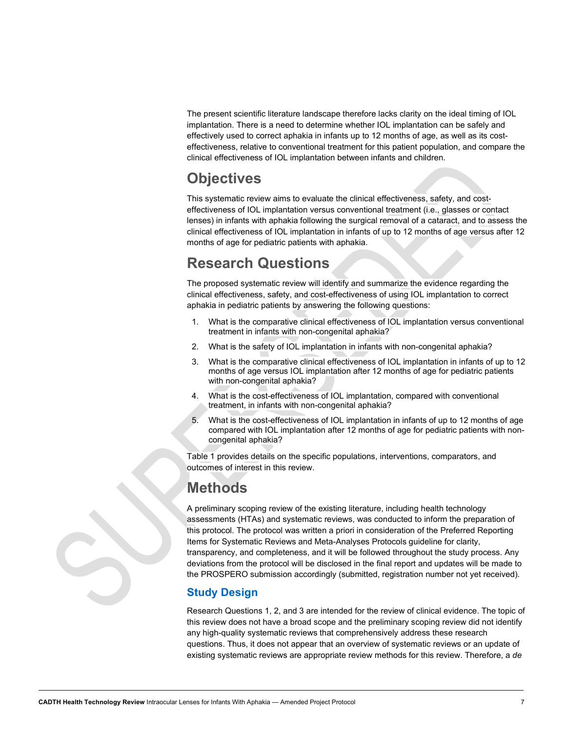The present scientific literature landscape therefore lacks clarity on the ideal timing of IOL implantation. There is a need to determine whether IOL implantation can be safely and effectively used to correct aphakia in infants up to 12 months of age, as well as its costeffectiveness, relative to conventional treatment for this patient population, and compare the clinical effectiveness of IOL implantation between infants and children.

## <span id="page-6-0"></span>**Objectives**

This systematic review aims to evaluate the clinical effectiveness, safety, and costeffectiveness of IOL implantation versus conventional treatment (i.e., glasses or contact lenses) in infants with aphakia following the surgical removal of a cataract, and to assess the clinical effectiveness of IOL implantation in infants of up to 12 months of age versus after 12 months of age for pediatric patients with aphakia.

## <span id="page-6-1"></span>**Research Questions**

The proposed systematic review will identify and summarize the evidence regarding the clinical effectiveness, safety, and cost-effectiveness of using IOL implantation to correct aphakia in pediatric patients by answering the following questions:

- 1. What is the comparative clinical effectiveness of IOL implantation versus conventional treatment in infants with non-congenital aphakia?
- 2. What is the safety of IOL implantation in infants with non-congenital aphakia?
- 3. What is the comparative clinical effectiveness of IOL implantation in infants of up to 12 months of age versus IOL implantation after 12 months of age for pediatric patients with non-congenital aphakia?
- 4. What is the cost-effectiveness of IOL implantation, compared with conventional treatment, in infants with non-congenital aphakia?
- 5. What is the cost-effectiveness of IOL implantation in infants of up to 12 months of age compared with IOL [implantation after 12 months of age for pediatric patients with non](#page-8-1)congenital aphakia?

[Table](#page-8-1) 1 provides details on the specific populations, interventions, comparators, and outcomes of interest in this review.

## <span id="page-6-2"></span>**Methods**

A preliminary scoping review of the existing literature, including health technology assessments (HTAs) and systematic reviews, was conducted to inform the preparation of this protocol. The protocol was written a priori in consideration of the Preferred Reporting Items for Systematic Reviews and Meta-Analyses Protocols guideline for clarity, transparency, and completeness, and it will be followed throughout the study process. Any deviations from the protocol will be disclosed in the final report and updates will be made to the PROSPERO submission accordingly (submitted, registration number not yet received).

### <span id="page-6-3"></span>**Study Design**

Research Questions 1, 2, and 3 are intended for the review of clinical evidence. The topic of this review does not have a broad scope and the preliminary scoping review did not identify any high-quality systematic reviews that comprehensively address these research questions. Thus, it does not appear that an overview of systematic reviews or an update of existing systematic reviews are appropriate review methods for this review. Therefore, a *de*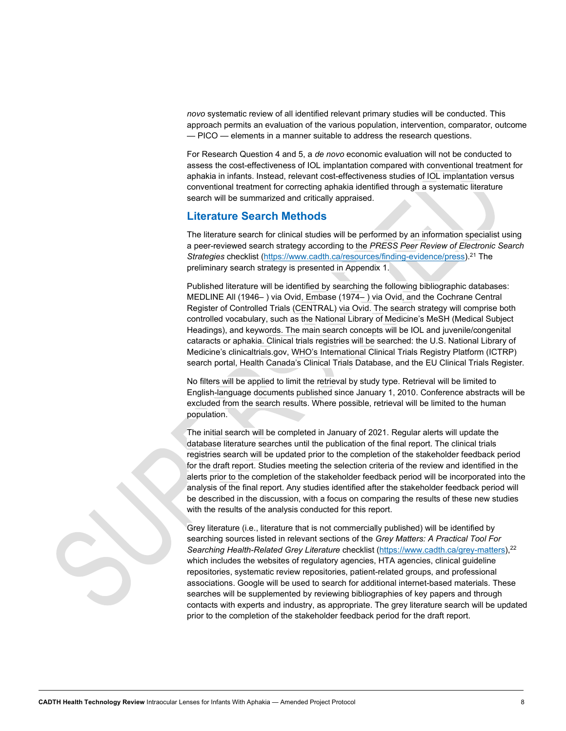*novo* systematic review of all identified relevant primary studies will be conducted. This approach permits an evaluation of the various population, intervention, comparator, outcome — PICO — elements in a manner suitable to address the research questions.

For Research Question 4 and 5, a *de novo* economic evaluation will not be conducted to assess the cost-effectiveness of IOL implantation compared with conventional treatment for aphakia in infants. Instead, relevant cost-effectiveness studies of IOL implantation versus conventional treatment for correcting aphakia identified through a systematic literature search will be summarized and critically appraised.

#### <span id="page-7-0"></span>**Literature Search Methods**

The literature search for clinical studies will be performed by an information specialist using a peer-reviewed search strategy according to the *PRESS Peer Review of Electronic Search Strategies* checklist [\(https://www.cadth.ca/resources/finding-evidence/press\)](https://www.cadth.ca/resources/finding-evidence/press).21 The preliminary search strategy is presented in Appendix 1.

Published literature will be identified by searching the following bibliographic databases: MEDLINE All (1946‒ ) via Ovid, Embase (1974‒ ) via Ovid, and the Cochrane Central Register of Controlled Trials (CENTRAL) via Ovid. The search strategy will comprise both controlled vocabulary, such as the National Library of Medicine's MeSH (Medical Subject Headings), and keywords. The main search concepts will be IOL and juvenile/congenital cataracts or aphakia. Clinical trials registries will be searched: the U.S. National Library of Medicine's clinicaltrials.gov, WHO's International Clinical Trials Registry Platform (ICTRP) search portal, Health Canada's Clinical Trials Database, and the EU Clinical Trials Register.

No filters will be applied to limit the retrieval by study type. Retrieval will be limited to English-language documents published since January 1, 2010. Conference abstracts will be excluded from the search results. Where possible, retrieval will be limited to the human population.

The initial search will be completed in January of 2021. Regular alerts will update the database literature searches until the publication of the final report. The clinical trials registries search will be updated prior to the completion of the stakeholder feedback period for the draft report. Studies meeting the selection criteria of the review and identified in the alerts prior to the completion of the stakeholder feedback period will be incorporated into the analysis of the final report. Any studies identified after the stakeholder feedback period will be described in the discussion, with a focus on comparing the results of these new studies with the results of the analysis conducted for this report.

Grey literature (i.e., literature that is not commercially published) will be identified by searching sources listed in relevant sections of the *Grey Matters: A Practical Tool For Searching Health-Related Grey Literature* checklist [\(https://www.cadth.ca/grey-matters\)](https://www.cadth.ca/grey-matters),22 which includes the websites of regulatory agencies, HTA agencies, clinical guideline repositories, systematic review repositories, patient-related groups, and professional associations. Google will be used to search for additional internet-based materials. These searches will be supplemented by reviewing bibliographies of key papers and through contacts with experts and industry, as appropriate. The grey literature search will be updated prior to the completion of the stakeholder feedback period for the draft report.

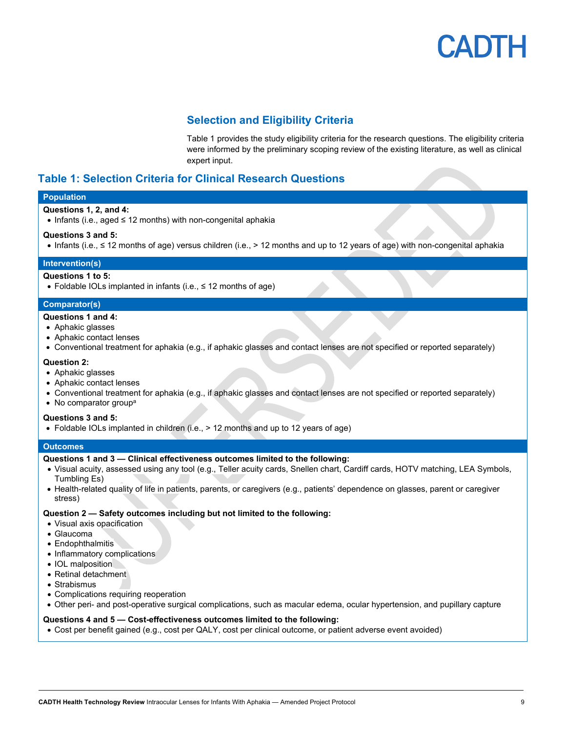#### **Selection and Eligibility Criteri[a](#page-8-1)**

<span id="page-8-1"></span>[Table](#page-8-1) 1 provides the study eligibility criteria for the research questions. The eligibility criteria were informed by the preliminary scoping review of the existing literature, as well as clinical expert input.

#### <span id="page-8-2"></span><span id="page-8-0"></span>**Table 1: Selection Criteria for Clinical Research Questions**

#### **Population**

#### **Questions 1, 2, and 4:**

• Infants (i.e., aged ≤ 12 months) with non-congenital aphakia

#### **Questions 3 and 5:**

• Infants (i.e., ≤ 12 months of age) versus children (i.e., > 12 months and up to 12 years of age) with non-congenital aphakia

#### **Intervention(s)**

#### **Questions 1 to 5:**

• Foldable IOLs implanted in infants (i.e., ≤ 12 months of age)

#### **Comparator(s)**

- **Questions 1 and 4:**
- Aphakic glasses
- Aphakic contact lenses
- Conventional treatment for aphakia (e.g., if aphakic glasses and contact lenses are not specified or reported separately)

#### **Question 2:**

- Aphakic glasses
- Aphakic contact lenses
- Conventional treatment for aphakia (e.g., if aphakic glasses and contact lenses are not specified or reported separately)
- $\bullet$  No comparator group<sup>a</sup>

#### **Questions 3 and 5:**

• Foldable IOLs implanted in children (i.e., > 12 months and up to 12 years of age)

#### **Outcomes**

#### **Questions 1 and 3 — Clinical effectiveness outcomes limited to the following:**

- Visual acuity, assessed using any tool (e.g., Teller acuity cards, Snellen chart, Cardiff cards, HOTV matching, LEA Symbols, Tumbling Es)
- Health-related quality of life in patients, parents, or caregivers (e.g., patients' dependence on glasses, parent or caregiver stress)

#### **Question 2 — Safety outcomes including but not limited to the following:**

- Visual axis opacification
- Glaucoma
- Endophthalmitis
- Inflammatory complications
- IOL malposition
- Retinal detachment
- Strabismus
- Complications requiring reoperation
- Other peri- and post-operative surgical complications, such as macular edema, ocular hypertension, and pupillary capture

#### **Questions 4 and 5 — Cost-effectiveness outcomes limited to the following:**

• Cost per benefit gained (e.g., cost per QALY, cost per clinical outcome, or patient adverse event avoided)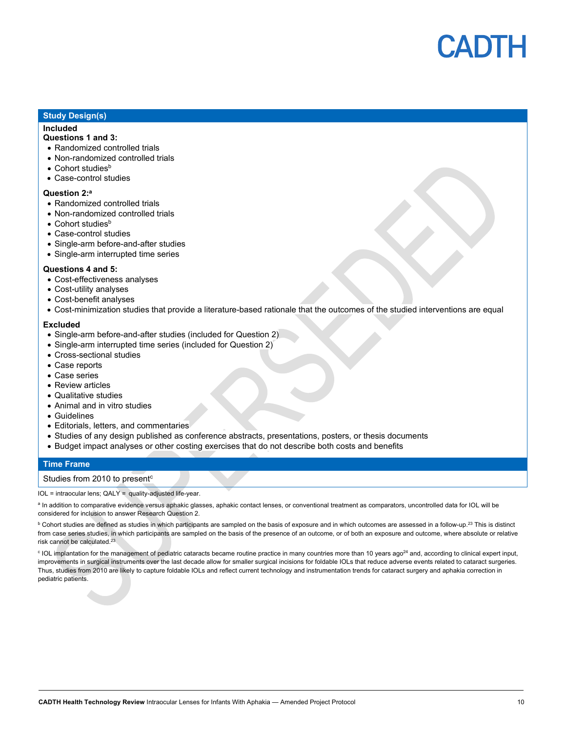

#### **Study Design(s)**

#### **Included**

#### **Questions 1 and 3:**

- Randomized controlled trials
- Non-randomized controlled trials
- $\bullet$  Cohort studies<sup>b</sup>
- Case-control studies

#### **Question 2:a**

- Randomized controlled trials
- Non-randomized controlled trials
- Cohort studies<sup>b</sup>
- Case-control studies
- Single-arm before-and-after studies
- Single-arm interrupted time series

#### **Questions 4 and 5:**

- Cost-effectiveness analyses
- Cost-utility analyses
- Cost-benefit analyses
- Cost-minimization studies that provide a literature-based rationale that the outcomes of the studied interventions are equal

#### **Excluded**

- Single-arm before-and-after studies (included for Question 2)
- Single-arm interrupted time series (included for Question 2)
- Cross-sectional studies
- Case reports
- Case series
- Review articles
- Qualitative studies
- Animal and in vitro studies
- Guidelines
- Editorials, letters, and commentaries
- Studies of any design published as conference abstracts, presentations, posters, or thesis documents
- Budget impact analyses or other costing exercises that do not describe both costs and benefits

#### **Time Frame**

#### Studies from 2010 to present<sup>c</sup>

IOL = intraocular lens; QALY = quality-adjusted life-year.

a In addition to comparative evidence versus aphakic glasses, aphakic contact lenses, or conventional treatment as comparators, uncontrolled data for IOL will be considered for inclusion to answer Research Question 2.

 $^{\rm b}$  Cohort studies are defined as studies in which participants are sampled on the basis of exposure and in which outcomes are assessed in a follow-up.<sup>23</sup> This is distinct from case series studies, in which participants are sampled on the basis of the presence of an outcome, or of both an exposure and outcome, where absolute or relative risk cannot be calculated.23

<sup>c</sup> IOL implantation for the management of pediatric cataracts became routine practice in many countries more than 10 years ago<sup>24</sup> and, according to clinical expert input, improvements in surgical instruments over the last decade allow for smaller surgical incisions for foldable IOLs that reduce adverse events related to cataract surgeries. Thus, studies from 2010 are likely to capture foldable IOLs and reflect current technology and instrumentation trends for cataract surgery and aphakia correction in pediatric patients.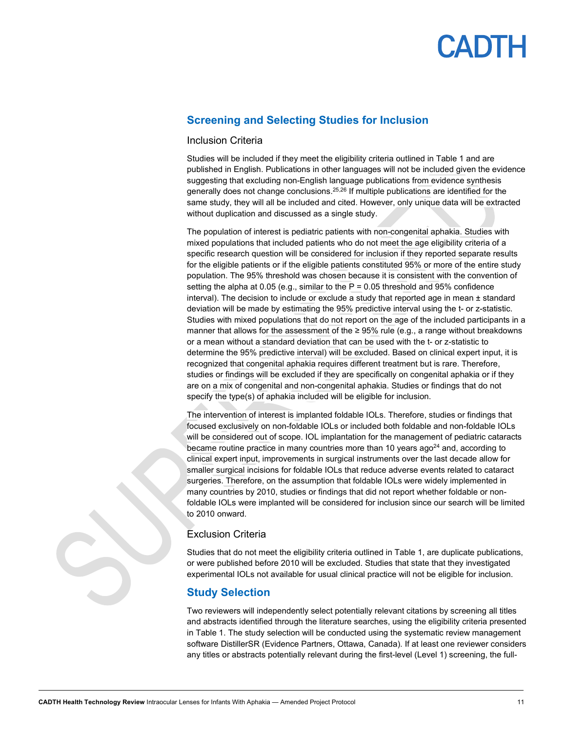## CADTH

#### <span id="page-10-0"></span>**Screening and Selecting Studies for Inclusion**

#### Inclusion Criteria

Studies will be included if they meet the eligibility criteria outlined in [Table 1](#page-8-2) and are published in English. Publications in other languages will not be included given the evidence suggesting that excluding non-English language publications from evidence synthesis generally does not change conclusions.<sup>25,26</sup> If multiple publications are identified for the same study, they will all be included and cited. However, only unique data will be extracted without duplication and discussed as a single study.

The population of interest is pediatric patients with non-congenital aphakia. Studies with mixed populations that included patients who do not meet the age eligibility criteria of a specific research question will be considered for inclusion if they reported separate results for the eligible patients or if the eligible patients constituted 95% or more of the entire study population. The 95% threshold was chosen because it is consistent with the convention of setting the alpha at 0.05 (e.g., similar to the P = 0.05 threshold and 95% confidence interval). The decision to include or exclude a study that reported age in mean  $\pm$  standard deviation will be made by estimating the 95% predictive interval using the t- or z-statistic. Studies with mixed populations that do not report on the age of the included participants in a manner that allows for the assessment of the  $\geq 95\%$  rule (e.g., a range without breakdowns or a mean without a standard deviation that can be used with the t- or z-statistic to determine the 95% predictive interval) will be excluded. Based on clinical expert input, it is recognized that congenital aphakia requires different treatment but is rare. Therefore, studies or findings will be excluded if they are specifically on congenital aphakia or if they are on a mix of congenital and non-congenital aphakia. Studies or findings that do not specify the type(s) of aphakia included will be eligible for inclusion.

The intervention of interest is implanted foldable IOLs. Therefore, studies or findings that focused exclusively on non-foldable IOLs or included both foldable and non-foldable IOLs will be considered out of scope. IOL implantation for the management of pediatric cataracts became routine practice in many countries more than 10 years ago<sup>24</sup> and, according to clinical expert input, improvements in surgical instruments over the last decade allow for smaller surgical incisions for foldable IOLs that reduce adverse events related to cataract surgeries. Therefore, on the assumption that foldable IOLs were widely implemented in many countries by 2010, studies or findings that did not report whether foldable or nonfoldable IOLs were implanted will be considered for inclusion since our search will be limited to 2010 onward.

#### Exclusion Criteria

Studies that do not meet the eligibility criteria outlined in [Table 1,](#page-8-2) are duplicate publications, or were published before 2010 will be excluded. Studies that state that they investigated experimental IOLs not available for usual clinical practice will not be eligible for inclusion.

#### <span id="page-10-1"></span>**Study Selection**

Two reviewers will independently select potentially relevant citations by screening all titles and abstracts identified through the literature searches, using the eligibility criteria presented in [Table 1.](#page-8-2) The study selection will be conducted using the systematic review management software DistillerSR (Evidence Partners, Ottawa, Canada). If at least one reviewer considers any titles or abstracts potentially relevant during the first-level (Level 1) screening, the full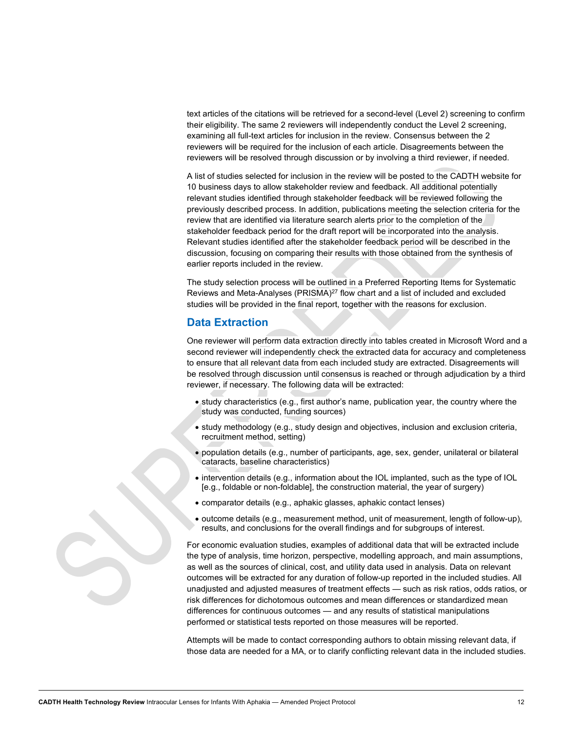text articles of the citations will be retrieved for a second-level (Level 2) screening to confirm their eligibility. The same 2 reviewers will independently conduct the Level 2 screening, examining all full-text articles for inclusion in the review. Consensus between the 2 reviewers will be required for the inclusion of each article. Disagreements between the reviewers will be resolved through discussion or by involving a third reviewer, if needed.

A list of studies selected for inclusion in the review will be posted to the CADTH website for 10 business days to allow stakeholder review and feedback. All additional potentially relevant studies identified through stakeholder feedback will be reviewed following the previously described process. In addition, publications meeting the selection criteria for the review that are identified via literature search alerts prior to the completion of the stakeholder feedback period for the draft report will be incorporated into the analysis. Relevant studies identified after the stakeholder feedback period will be described in the discussion, focusing on comparing their results with those obtained from the synthesis of earlier reports included in the review.

The study selection process will be outlined in a Preferred Reporting Items for Systematic Reviews and Meta-Analyses (PRISMA)<sup>27</sup> flow chart and a list of included and excluded studies will be provided in the final report, together with the reasons for exclusion.

#### <span id="page-11-0"></span>**Data Extraction**

One reviewer will perform data extraction directly into tables created in Microsoft Word and a second reviewer will independently check the extracted data for accuracy and completeness to ensure that all relevant data from each included study are extracted. Disagreements will be resolved through discussion until consensus is reached or through adjudication by a third reviewer, if necessary. The following data will be extracted:

- study characteristics (e.g., first author's name, publication year, the country where the study was conducted, funding sources)
- study methodology (e.g., study design and objectives, inclusion and exclusion criteria, recruitment method, setting)
- population details (e.g., number of participants, age, sex, gender, unilateral or bilateral cataracts, baseline characteristics)
- intervention details (e.g., information about the IOL implanted, such as the type of IOL [e.g., foldable or non-foldable], the construction material, the year of surgery)
- comparator details (e.g., aphakic glasses, aphakic contact lenses)
- outcome details (e.g., measurement method, unit of measurement, length of follow-up), results, and conclusions for the overall findings and for subgroups of interest.

For economic evaluation studies, examples of additional data that will be extracted include the type of analysis, time horizon, perspective, modelling approach, and main assumptions, as well as the sources of clinical, cost, and utility data used in analysis. Data on relevant outcomes will be extracted for any duration of follow-up reported in the included studies. All unadjusted and adjusted measures of treatment effects — such as risk ratios, odds ratios, or risk differences for dichotomous outcomes and mean differences or standardized mean differences for continuous outcomes — and any results of statistical manipulations performed or statistical tests reported on those measures will be reported.

Attempts will be made to contact corresponding authors to obtain missing relevant data, if those data are needed for a MA, or to clarify conflicting relevant data in the included studies.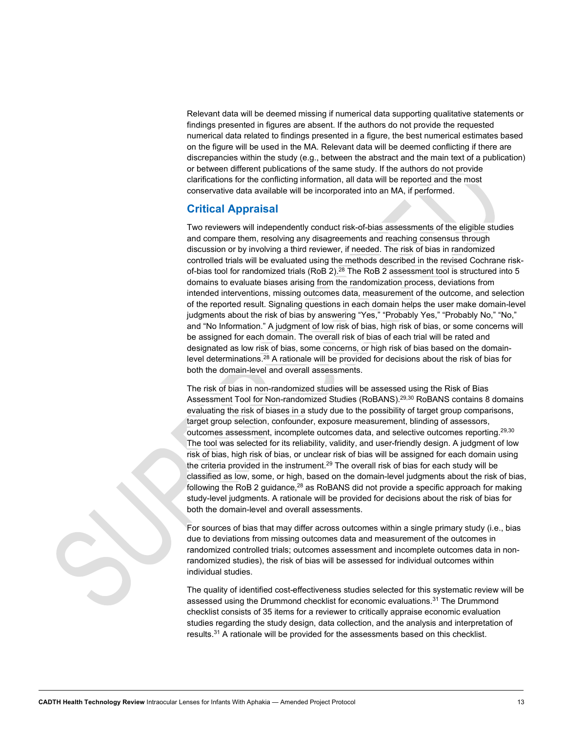Relevant data will be deemed missing if numerical data supporting qualitative statements or findings presented in figures are absent. If the authors do not provide the requested numerical data related to findings presented in a figure, the best numerical estimates based on the figure will be used in the MA. Relevant data will be deemed conflicting if there are discrepancies within the study (e.g., between the abstract and the main text of a publication) or between different publications of the same study. If the authors do not provide clarifications for the conflicting information, all data will be reported and the most conservative data available will be incorporated into an MA, if performed.

#### <span id="page-12-0"></span>**Critical Appraisal**

Two reviewers will independently conduct risk-of-bias assessments of the eligible studies and compare them, resolving any disagreements and reaching consensus through discussion or by involving a third reviewer, if needed. The risk of bias in randomized controlled trials will be evaluated using the methods described in the revised Cochrane riskof-bias tool for randomized trials (RoB 2). $^{28}$  The RoB 2 assessment tool is structured into 5  $\,$ domains to evaluate biases arising from the randomization process, deviations from intended interventions, missing outcomes data, measurement of the outcome, and selection of the reported result. Signaling questions in each domain helps the user make domain-level judgments about the risk of bias by answering "Yes," "Probably Yes," "Probably No," "No," and "No Information." A judgment of low risk of bias, high risk of bias, or some concerns will be assigned for each domain. The overall risk of bias of each trial will be rated and designated as low risk of bias, some concerns, or high risk of bias based on the domainlevel determinations. <sup>28</sup> A rationale will be provided for decisions about the risk of bias for both the domain-level and overall assessments.

The risk of bias in non-randomized studies will be assessed using the Risk of Bias Assessment Tool for Non-randomized Studies (RoBANS).<sup>29,30</sup> RoBANS contains 8 domains evaluating the risk of biases in a study due to the possibility of target group comparisons, target group selection, confounder, exposure measurement, blinding of assessors, outcomes assessment, incomplete outcomes data, and selective outcomes reporting.29,30 The tool was selected for its reliability, validity, and user-friendly design. A judgment of low risk of bias, high risk of bias, or unclear risk of bias will be assigned for each domain using the criteria provided in the instrument. $^{29}$  The overall risk of bias for each study will be classified as low, some, or high, based on the domain-level judgments about the risk of bias, following the RoB 2 guidance, $^{28}$  as RoBANS did not provide a specific approach for making study-level judgments. A rationale will be provided for decisions about the risk of bias for both the domain-level and overall assessments.

For sources of bias that may differ across outcomes within a single primary study (i.e., bias due to deviations from missing outcomes data and measurement of the outcomes in randomized controlled trials; outcomes assessment and incomplete outcomes data in nonrandomized studies), the risk of bias will be assessed for individual outcomes within individual studies.

The quality of identified cost-effectiveness studies selected for this systematic review will be assessed using the Drummond checklist for economic evaluations.<sup>31</sup> The Drummond checklist consists of 35 items for a reviewer to critically appraise economic evaluation studies regarding the study design, data collection, and the analysis and interpretation of results.31 A rationale will be provided for the assessments based on this checklist.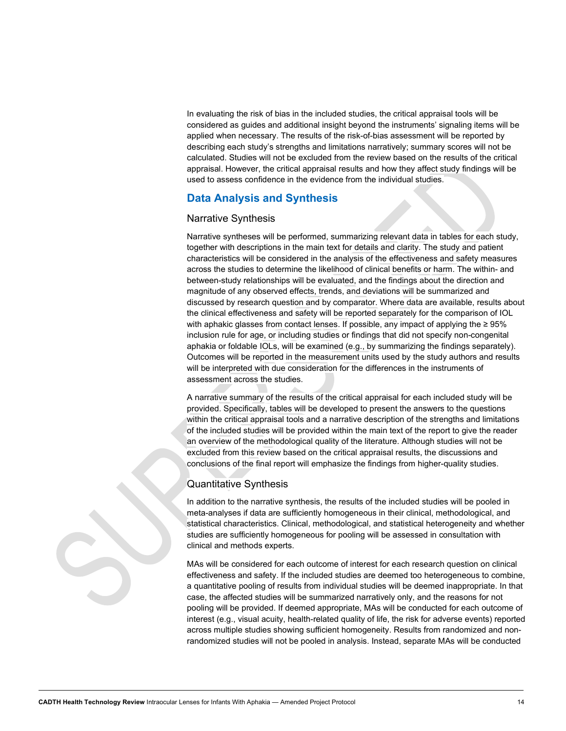In evaluating the risk of bias in the included studies, the critical appraisal tools will be considered as guides and additional insight beyond the instruments' signaling items will be applied when necessary. The results of the risk-of-bias assessment will be reported by describing each study's strengths and limitations narratively; summary scores will not be calculated. Studies will not be excluded from the review based on the results of the critical appraisal. However, the critical appraisal results and how they affect study findings will be used to assess confidence in the evidence from the individual studies.

#### <span id="page-13-0"></span>**Data Analysis and Synthesis**

#### Narrative Synthesis

Narrative syntheses will be performed, summarizing relevant data in tables for each study, together with descriptions in the main text for details and clarity. The study and patient characteristics will be considered in the analysis of the effectiveness and safety measures across the studies to determine the likelihood of clinical benefits or harm. The within- and between-study relationships will be evaluated, and the findings about the direction and magnitude of any observed effects, trends, and deviations will be summarized and discussed by research question and by comparator. Where data are available, results about the clinical effectiveness and safety will be reported separately for the comparison of IOL with aphakic glasses from contact lenses. If possible, any impact of applying the ≥ 95% inclusion rule for age, or including studies or findings that did not specify non-congenital aphakia or foldable IOLs, will be examined (e.g., by summarizing the findings separately). Outcomes will be reported in the measurement units used by the study authors and results will be interpreted with due consideration for the differences in the instruments of assessment across the studies.

A narrative summary of the results of the critical appraisal for each included study will be provided. Specifically, tables will be developed to present the answers to the questions within the critical appraisal tools and a narrative description of the strengths and limitations of the included studies will be provided within the main text of the report to give the reader an overview of the methodological quality of the literature. Although studies will not be excluded from this review based on the critical appraisal results, the discussions and conclusions of the final report will emphasize the findings from higher-quality studies.

#### Quantitative Synthesis

In addition to the narrative synthesis, the results of the included studies will be pooled in meta-analyses if data are sufficiently homogeneous in their clinical, methodological, and statistical characteristics. Clinical, methodological, and statistical heterogeneity and whether studies are sufficiently homogeneous for pooling will be assessed in consultation with clinical and methods experts.

MAs will be considered for each outcome of interest for each research question on clinical effectiveness and safety. If the included studies are deemed too heterogeneous to combine, a quantitative pooling of results from individual studies will be deemed inappropriate. In that case, the affected studies will be summarized narratively only, and the reasons for not pooling will be provided. If deemed appropriate, MAs will be conducted for each outcome of interest (e.g., visual acuity, health-related quality of life, the risk for adverse events) reported across multiple studies showing sufficient homogeneity. Results from randomized and nonrandomized studies will not be pooled in analysis. Instead, separate MAs will be conducted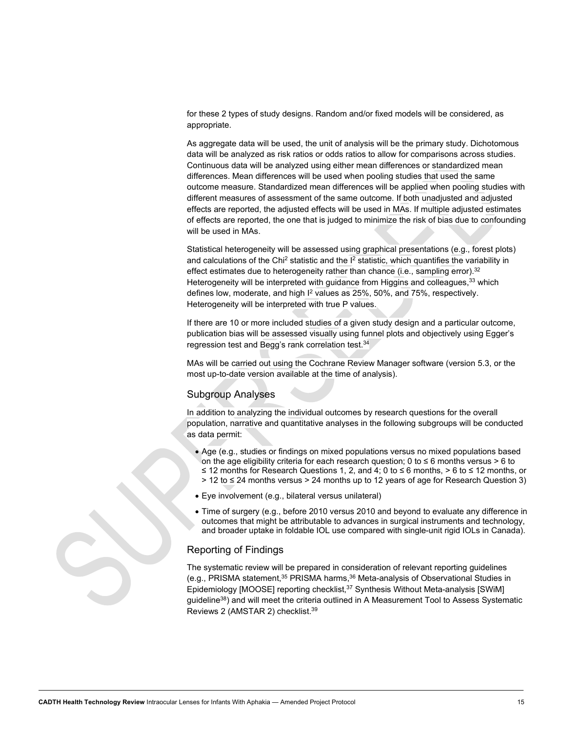for these 2 types of study designs. Random and/or fixed models will be considered, as appropriate.

As aggregate data will be used, the unit of analysis will be the primary study. Dichotomous data will be analyzed as risk ratios or odds ratios to allow for comparisons across studies. Continuous data will be analyzed using either mean differences or standardized mean differences. Mean differences will be used when pooling studies that used the same outcome measure. Standardized mean differences will be applied when pooling studies with different measures of assessment of the same outcome. If both unadjusted and adjusted effects are reported, the adjusted effects will be used in MAs. If multiple adjusted estimates of effects are reported, the one that is judged to minimize the risk of bias due to confounding will be used in MAs.

Statistical heterogeneity will be assessed using graphical presentations (e.g., forest plots) and calculations of the Chi<sup>2</sup> statistic and the  $I<sup>2</sup>$  statistic, which quantifies the variability in effect estimates due to heterogeneity rather than chance (i.e., sampling error).<sup>32</sup> Heterogeneity will be interpreted with guidance from Higgins and colleagues,<sup>33</sup> which defines low, moderate, and high  $I^2$  values as 25%, 50%, and 75%, respectively. Heterogeneity will be interpreted with true P values.

If there are 10 or more included studies of a given study design and a particular outcome, publication bias will be assessed visually using funnel plots and objectively using Egger's regression test and Begg's rank correlation test.<sup>34</sup>

MAs will be carried out using the Cochrane Review Manager software (version 5.3, or the most up-to-date version available at the time of analysis).

#### Subgroup Analyses

In addition to analyzing the individual outcomes by research questions for the overall population, narrative and quantitative analyses in the following subgroups will be conducted as data permit:

- Age (e.g., studies or findings on mixed populations versus no mixed populations based on the age eligibility criteria for each research question; 0 to ≤ 6 months versus > 6 to ≤ 12 months for Research Questions 1, 2, and 4; 0 to ≤ 6 months, > 6 to ≤ 12 months, or > 12 to ≤ 24 months versus > 24 months up to 12 years of age for Research Question 3)
- Eye involvement (e.g., bilateral versus unilateral)
- Time of surgery (e.g., before 2010 versus 2010 and beyond to evaluate any difference in outcomes that might be attributable to advances in surgical instruments and technology, and broader uptake in foldable IOL use compared with single-unit rigid IOLs in Canada).

#### Reporting of Findings

The systematic review will be prepared in consideration of relevant reporting guidelines (e.g., PRISMA statement,<sup>35</sup> PRISMA harms,<sup>36</sup> Meta-analysis of Observational Studies in Epidemiology [MOOSE] reporting checklist,<sup>37</sup> Synthesis Without Meta-analysis [SWiM] guideline<sup>38</sup>) and will meet the criteria outlined in A Measurement Tool to Assess Systematic Reviews 2 (AMSTAR 2) checklist.39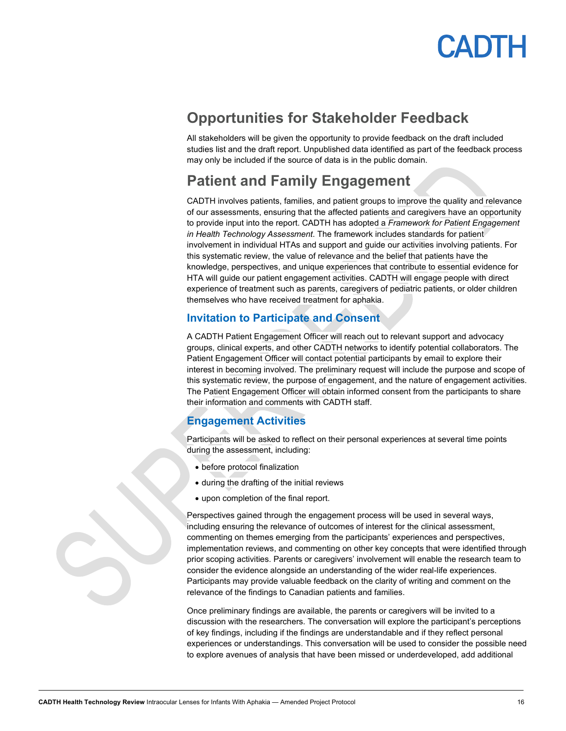

## <span id="page-15-0"></span>**Opportunities for Stakeholder Feedback**

All stakeholders will be given the opportunity to provide feedback on the draft included studies list and the draft report. Unpublished data identified as part of the feedback process may only be included if the source of data is in the public domain.

### <span id="page-15-1"></span>**Patient and Family Engagement**

CADTH involves patients, families, and patient groups to improve the quality and relevance of our assessments, ensuring that the affected patients and caregivers have an opportunity to provide input into the report. CADTH has adopted a *Framework for Patient Engagement in Health Technology Assessment*. The framework includes standards for patient involvement in individual HTAs and support and guide our activities involving patients. For this systematic review, the value of relevance and the belief that patients have the knowledge, perspectives, and unique experiences that contribute to essential evidence for HTA will guide our patient engagement activities. CADTH will engage people with direct experience of treatment such as parents, caregivers of pediatric patients, or older children themselves who have received treatment for aphakia.

#### <span id="page-15-2"></span>**Invitation to Participate and Consent**

A CADTH Patient Engagement Officer will reach out to relevant support and advocacy groups, clinical experts, and other CADTH networks to identify potential collaborators. The Patient Engagement Officer will contact potential participants by email to explore their interest in becoming involved. The preliminary request will include the purpose and scope of this systematic review, the purpose of engagement, and the nature of engagement activities. The Patient Engagement Officer will obtain informed consent from the participants to share their information and comments with CADTH staff.

#### <span id="page-15-3"></span>**Engagement Activities**

Participants will be asked to reflect on their personal experiences at several time points during the assessment, including:

- before protocol finalization
- during the drafting of the initial reviews
- upon completion of the final report.

Perspectives gained through the engagement process will be used in several ways, including ensuring the relevance of outcomes of interest for the clinical assessment, commenting on themes emerging from the participants' experiences and perspectives, implementation reviews, and commenting on other key concepts that were identified through prior scoping activities. Parents or caregivers' involvement will enable the research team to consider the evidence alongside an understanding of the wider real-life experiences. Participants may provide valuable feedback on the clarity of writing and comment on the relevance of the findings to Canadian patients and families.

Once preliminary findings are available, the parents or caregivers will be invited to a discussion with the researchers. The conversation will explore the participant's perceptions of key findings, including if the findings are understandable and if they reflect personal experiences or understandings. This conversation will be used to consider the possible need to explore avenues of analysis that have been missed or underdeveloped, add additional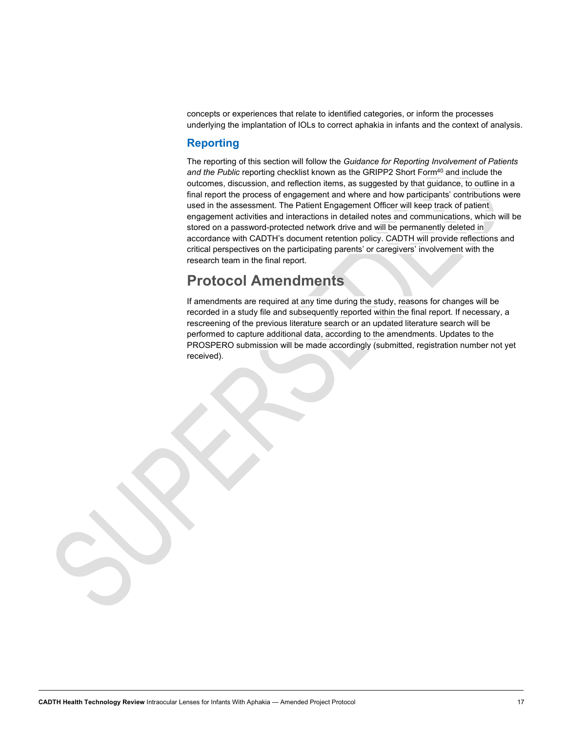concepts or experiences that relate to identified categories, or inform the processes underlying the implantation of IOLs to correct aphakia in infants and the context of analysis.

#### <span id="page-16-0"></span>**Reporting**

The reporting of this section will follow the *Guidance for Reporting Involvement of Patients*  and the Public reporting checklist known as the GRIPP2 Short Form<sup>40</sup> and include the outcomes, discussion, and reflection items, as suggested by that guidance, to outline in a final report the process of engagement and where and how participants' contributions were used in the assessment. The Patient Engagement Officer will keep track of patient engagement activities and interactions in detailed notes and communications, which will be stored on a password-protected network drive and will be permanently deleted in accordance with CADTH's document retention policy. CADTH will provide reflections and critical perspectives on the participating parents' or caregivers' involvement with the research team in the final report.

## <span id="page-16-1"></span>**Protocol Amendments**

If amendments are required at any time during the study, reasons for changes will be recorded in a study file and subsequently reported within the final report. If necessary, a rescreening of the previous literature search or an updated literature search will be performed to capture additional data, according to the amendments. Updates to the PROSPERO submission will be made accordingly (submitted, registration number not yet received).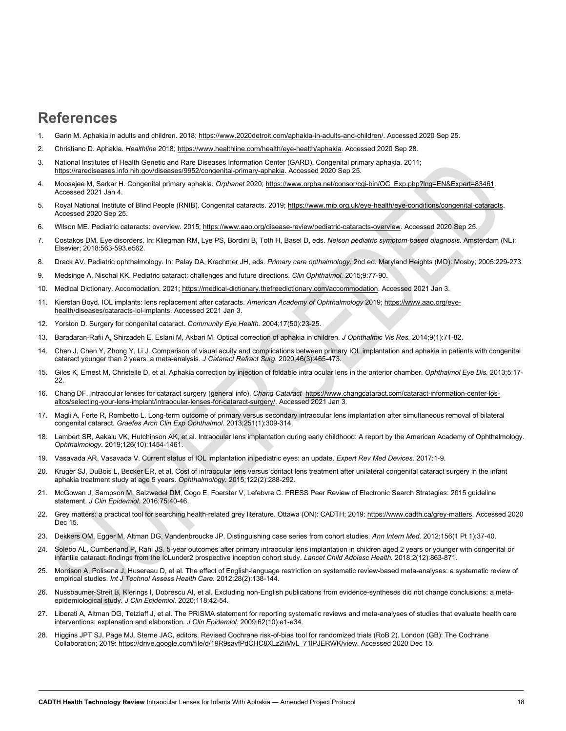### <span id="page-17-0"></span>**References**

- 1. Garin M. Aphakia in adults and children. 2018; [https://www.2020detroit.com/aphakia-in-adults-and-children/.](https://www.2020detroit.com/aphakia-in-adults-and-children/) Accessed 2020 Sep 25.
- 2. Christiano D. Aphakia. *Healthline* 2018[; https://www.healthline.com/health/eye-health/aphakia.](https://www.healthline.com/health/eye-health/aphakia) Accessed 2020 Sep 28.
- 3. National Institutes of Health Genetic and Rare Diseases Information Center (GARD). Congenital primary aphakia. 2011; [https://rarediseases.info.nih.gov/diseases/9952/congenital-primary-aphakia.](https://rarediseases.info.nih.gov/diseases/9952/congenital-primary-aphakia) Accessed 2020 Sep 25.
- 4. Moosajee M, Sarkar H. Congenital primary aphakia. *Orphanet* 2020[; https://www.orpha.net/consor/cgi-bin/OC\\_Exp.php?lng=EN&Expert=83461.](https://www.orpha.net/consor/cgi-bin/OC_Exp.php?lng=EN&Expert=83461)  Accessed 2021 Jan 4.
- 5. Royal National Institute of Blind People (RNIB). Congenital cataracts. 2019[; https://www.rnib.org.uk/eye-health/eye-conditions/congenital-cataracts.](https://www.rnib.org.uk/eye-health/eye-conditions/congenital-cataracts)  Accessed 2020 Sep 25.
- 6. Wilson ME. Pediatric cataracts: overview. 2015[; https://www.aao.org/disease-review/pediatric-cataracts-overview.](https://www.aao.org/disease-review/pediatric-cataracts-overview) Accessed 2020 Sep 25.
- 7. Costakos DM. Eye disorders. In: Kliegman RM, Lye PS, Bordini B, Toth H, Basel D, eds. *Nelson pediatric symptom-based diagnosis*. Amsterdam (NL): Elsevier; 2018:563-593.e562.
- 8. Drack AV. Pediatric ophthalmology. In: Palay DA, Krachmer JH, eds. *Primary care opthalmology*. 2nd ed. Maryland Heights (MO): Mosby; 2005:229-273.
- 9. Medsinge A, Nischal KK. Pediatric cataract: challenges and future directions. *Clin Ophthalmol.* 2015;9:77-90.
- 10. Medical Dictionary. Accomodation. 2021[; https://medical-dictionary.thefreedictionary.com/accommodation.](https://medical-dictionary.thefreedictionary.com/accommodation) Accessed 2021 Jan 3.
- 11. Kierstan Boyd. IOL implants: lens replacement after cataracts. *American Academy of Ophthalmology* 2019; [https://www.aao.org/eye](https://www.aao.org/eye-health/diseases/cataracts-iol-implants)[health/diseases/cataracts-iol-implants.](https://www.aao.org/eye-health/diseases/cataracts-iol-implants) Accessed 2021 Jan 3.
- 12. Yorston D. Surgery for congenital cataract. *Community Eye Health.* 2004;17(50):23-25.
- 13. Baradaran-Rafii A, Shirzadeh E, Eslani M, Akbari M. Optical correction of aphakia in children. *J Ophthalmic Vis Res.* 2014;9(1):71-82.
- 14. Chen J, Chen Y, Zhong Y, Li J. Comparison of visual acuity and complications between primary IOL implantation and aphakia in patients with congenital cataract younger than 2 years: a meta-analysis. *J Cataract Refract Surg.* 2020;46(3):465-473.
- 15. Giles K, Ernest M, Christelle D, et al. Aphakia correction by injection of foldable intra ocular lens in the anterior chamber. *Ophthalmol Eye Dis.* 2013;5:17- 22.
- 16. Chang DF. Intraocular lenses for cataract surgery (general info). *Chang Cataract* [https://www.changcataract.com/cataract-information-center-los](https://www.changcataract.com/cataract-information-center-los-altos/selecting-your-lens-implant/intraocular-lenses-for-cataract-surgery/)[altos/selecting-your-lens-implant/intraocular-lenses-for-cataract-surgery/.](https://www.changcataract.com/cataract-information-center-los-altos/selecting-your-lens-implant/intraocular-lenses-for-cataract-surgery/) Accessed 2021 Jan 3.
- 17. Magli A, Forte R, Rombetto L. Long-term outcome of primary versus secondary intraocular lens implantation after simultaneous removal of bilateral congenital cataract. *Graefes Arch Clin Exp Ophthalmol.* 2013;251(1):309-314.
- 18. Lambert SR, Aakalu VK, Hutchinson AK, et al. Intraocular lens implantation during early childhood: A report by the American Academy of Ophthalmology. *Ophthalmology.* 2019;126(10):1454-1461.
- 19. Vasavada AR, Vasavada V. Current status of IOL implantation in pediatric eyes: an update. *Expert Rev Med Devices.* 2017:1-9.
- 20. Kruger SJ, DuBois L, Becker ER, et al. Cost of intraocular lens versus contact lens treatment after unilateral congenital cataract surgery in the infant aphakia treatment study at age 5 years. *Ophthalmology.* 2015;122(2):288-292.
- 21. McGowan J, Sampson M, Salzwedel DM, Cogo E, Foerster V, Lefebvre C. PRESS Peer Review of Electronic Search Strategies: 2015 guideline statement. *J Clin Epidemiol.* 2016;75:40-46.
- 22. Grey matters: a practical tool for searching health-related grey literature. Ottawa (ON): CADTH; 2019[: https://www.cadth.ca/grey-matters.](https://www.cadth.ca/grey-matters) Accessed 2020 Dec 15.
- 23. Dekkers OM, Egger M, Altman DG, Vandenbroucke JP. Distinguishing case series from cohort studies. *Ann Intern Med.* 2012;156(1 Pt 1):37-40.
- 24. Solebo AL, Cumberland P, Rahi JS. 5-year outcomes after primary intraocular lens implantation in children aged 2 years or younger with congenital or infantile cataract: findings from the IoLunder2 prospective inception cohort study. *Lancet Child Adolesc Health.* 2018;2(12):863-871.
- 25. Morrison A, Polisena J, Husereau D, et al. The effect of English-language restriction on systematic review-based meta-analyses: a systematic review of empirical studies. *Int J Technol Assess Health Care.* 2012;28(2):138-144.
- 26. Nussbaumer-Streit B, Klerings I, Dobrescu AI, et al. Excluding non-English publications from evidence-syntheses did not change conclusions: a metaepidemiological study. *J Clin Epidemiol.* 2020;118:42-54.
- 27. Liberati A, Altman DG, Tetzlaff J, et al. The PRISMA statement for reporting systematic reviews and meta-analyses of studies that evaluate health care interventions: explanation and elaboration. *J Clin Epidemiol.* 2009;62(10):e1-e34.
- 28. Higgins JPT SJ, Page MJ, Sterne JAC, editors. Revised Cochrane risk-of-bias tool for randomized trials (RoB 2). London (GB): The Cochrane Collaboration; 2019[: https://drive.google.com/file/d/19R9savfPdCHC8XLz2iiMvL\\_71lPJERWK/view.](https://drive.google.com/file/d/19R9savfPdCHC8XLz2iiMvL_71lPJERWK/view) Accessed 2020 Dec 15.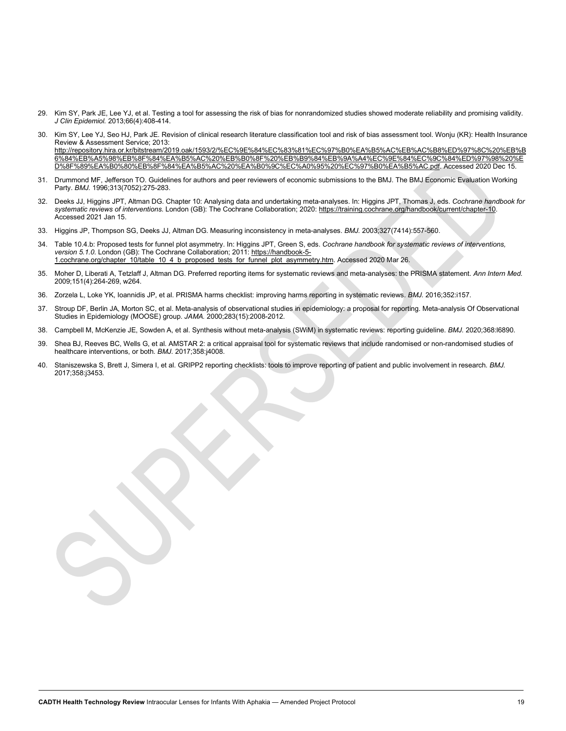- 29. Kim SY, Park JE, Lee YJ, et al. Testing a tool for assessing the risk of bias for nonrandomized studies showed moderate reliability and promising validity. *J Clin Epidemiol.* 2013;66(4):408-414.
- 30. Kim SY, Lee YJ, Seo HJ, Park JE. Revision of clinical research literature classification tool and risk of bias assessment tool. Wonju (KR): Health Insurance Review & Assessment Service; 2013: [http://repository.hira.or.kr/bitstream/2019.oak/1593/2/%EC%9E%84%EC%83%81%EC%97%B0%EA%B5%AC%EB%AC%B8%ED%97%8C%20%EB%B](http://repository.hira.or.kr/bitstream/2019.oak/1593/2/%EC%9E%84%EC%83%81%EC%97%B0%EA%B5%AC%EB%AC%B8%ED%97%8C%20%EB%B6%84%EB%A5%98%EB%8F%84%EA%B5%AC%20%EB%B0%8F%20%EB%B9%84%EB%9A%A4%EC%9E%84%EC%9C%84%ED%97%98%20%ED%8F%89%EA%B0%80%EB%8F%84%EA%B5%AC%20%EA%B0%9C%EC%A0%95%20%EC%97%B0%EA%B5%AC.pdf) [6%84%EB%A5%98%EB%8F%84%EA%B5%AC%20%EB%B0%8F%20%EB%B9%84%EB%9A%A4%EC%9E%84%EC%9C%84%ED%97%98%20%E](http://repository.hira.or.kr/bitstream/2019.oak/1593/2/%EC%9E%84%EC%83%81%EC%97%B0%EA%B5%AC%EB%AC%B8%ED%97%8C%20%EB%B6%84%EB%A5%98%EB%8F%84%EA%B5%AC%20%EB%B0%8F%20%EB%B9%84%EB%9A%A4%EC%9E%84%EC%9C%84%ED%97%98%20%ED%8F%89%EA%B0%80%EB%8F%84%EA%B5%AC%20%EA%B0%9C%EC%A0%95%20%EC%97%B0%EA%B5%AC.pdf) [D%8F%89%EA%B0%80%EB%8F%84%EA%B5%AC%20%EA%B0%9C%EC%A0%95%20%EC%97%B0%EA%B5%AC.pdf.](http://repository.hira.or.kr/bitstream/2019.oak/1593/2/%EC%9E%84%EC%83%81%EC%97%B0%EA%B5%AC%EB%AC%B8%ED%97%8C%20%EB%B6%84%EB%A5%98%EB%8F%84%EA%B5%AC%20%EB%B0%8F%20%EB%B9%84%EB%9A%A4%EC%9E%84%EC%9C%84%ED%97%98%20%ED%8F%89%EA%B0%80%EB%8F%84%EA%B5%AC%20%EA%B0%9C%EC%A0%95%20%EC%97%B0%EA%B5%AC.pdf) Accessed 2020 Dec 15.
- 31. Drummond MF, Jefferson TO. Guidelines for authors and peer reviewers of economic submissions to the BMJ. The BMJ Economic Evaluation Working Party. *BMJ.* 1996;313(7052):275-283.
- 32. Deeks JJ, Higgins JPT, Altman DG. Chapter 10: Analysing data and undertaking meta-analyses. In: Higgins JPT, Thomas J, eds. *Cochrane handbook for systematic reviews of interventions*. London (GB): The Cochrane Collaboration; 2020[: https://training.cochrane.org/handbook/current/chapter-10.](https://training.cochrane.org/handbook/current/chapter-10)  Accessed 2021 Jan 15.
- 33. Higgins JP, Thompson SG, Deeks JJ, Altman DG. Measuring inconsistency in meta-analyses. *BMJ.* 2003;327(7414):557-560.
- 34. Table 10.4.b: Proposed tests for funnel plot asymmetry. In: Higgins JPT, Green S, eds. *Cochrane handbook for systematic reviews of interventions, version 5.1.0*. London (GB): The Cochrane Collaboration; 2011[: https://handbook-5-](https://handbook-5-1.cochrane.org/chapter_10/table_10_4_b_proposed_tests_for_funnel_plot_asymmetry.htm) [1.cochrane.org/chapter\\_10/table\\_10\\_4\\_b\\_proposed\\_tests\\_for\\_funnel\\_plot\\_asymmetry.htm.](https://handbook-5-1.cochrane.org/chapter_10/table_10_4_b_proposed_tests_for_funnel_plot_asymmetry.htm) Accessed 2020 Mar 26.
- 35. Moher D, Liberati A, Tetzlaff J, Altman DG. Preferred reporting items for systematic reviews and meta-analyses: the PRISMA statement. *Ann Intern Med.*  2009;151(4):264-269, w264.
- 36. Zorzela L, Loke YK, Ioannidis JP, et al. PRISMA harms checklist: improving harms reporting in systematic reviews. *BMJ.* 2016;352:i157.
- 37. Stroup DF, Berlin JA, Morton SC, et al. Meta-analysis of observational studies in epidemiology: a proposal for reporting. Meta-analysis Of Observational Studies in Epidemiology (MOOSE) group. *JAMA.* 2000;283(15):2008-2012.
- 38. Campbell M, McKenzie JE, Sowden A, et al. Synthesis without meta-analysis (SWiM) in systematic reviews: reporting guideline. *BMJ.* 2020;368:l6890.
- 39. Shea BJ, Reeves BC, Wells G, et al. AMSTAR 2: a critical appraisal tool for systematic reviews that include randomised or non-randomised studies of healthcare interventions, or both. *BMJ.* 2017;358:j4008.
- 40. Staniszewska S, Brett J, Simera I, et al. GRIPP2 reporting checklists: tools to improve reporting of patient and public involvement in research. *BMJ.*  2017;358:j3453.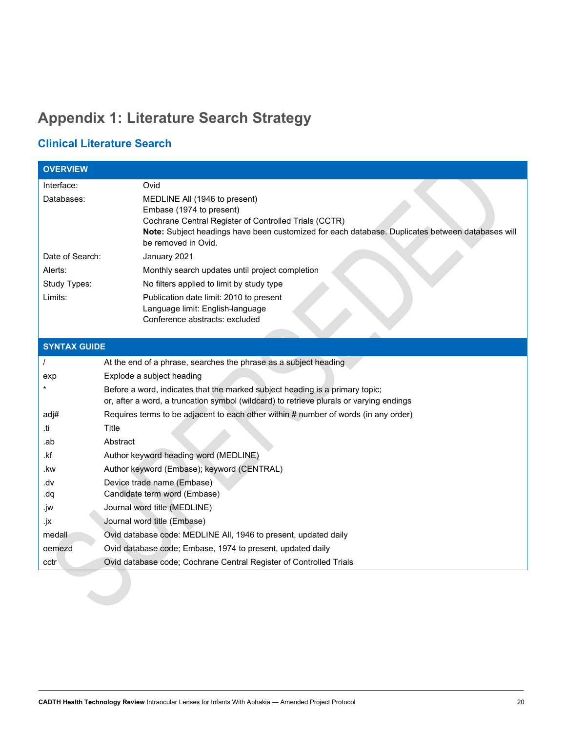## <span id="page-19-0"></span>**Appendix 1: Literature Search Strategy**

### **Clinical Literature Search**

| <b>OVERVIEW</b>     |                                                                                                                                                                                                                                               |  |
|---------------------|-----------------------------------------------------------------------------------------------------------------------------------------------------------------------------------------------------------------------------------------------|--|
| Interface:          | Ovid                                                                                                                                                                                                                                          |  |
| Databases:          | MEDLINE All (1946 to present)<br>Embase (1974 to present)<br>Cochrane Central Register of Controlled Trials (CCTR)<br>Note: Subject headings have been customized for each database. Duplicates between databases will<br>be removed in Ovid. |  |
| Date of Search:     | January 2021                                                                                                                                                                                                                                  |  |
| Alerts:             | Monthly search updates until project completion                                                                                                                                                                                               |  |
| Study Types:        | No filters applied to limit by study type                                                                                                                                                                                                     |  |
| Limits:             | Publication date limit: 2010 to present<br>Language limit: English-language<br>Conference abstracts: excluded                                                                                                                                 |  |
| <b>SYNTAX GUIDE</b> |                                                                                                                                                                                                                                               |  |
|                     | At the end of a phrase, searches the phrase as a subject heading                                                                                                                                                                              |  |
| exp                 | Explode a subject heading                                                                                                                                                                                                                     |  |
|                     | Before a word, indicates that the marked subject heading is a primary topic;<br>or, after a word, a truncation symbol (wildcard) to retrieve plurals or varying endings                                                                       |  |
| adj#                | Requires terms to be adjacent to each other within # number of words (in any order)                                                                                                                                                           |  |
| .ti                 | Title                                                                                                                                                                                                                                         |  |
| .ab                 | Abstract                                                                                                                                                                                                                                      |  |
| .kf                 | Author keyword heading word (MEDLINE)                                                                                                                                                                                                         |  |
| .kw                 | Author keyword (Embase); keyword (CENTRAL)                                                                                                                                                                                                    |  |
| vb.<br>dq.          | Device trade name (Embase)<br>Candidate term word (Embase)                                                                                                                                                                                    |  |
| .jw                 | Journal word title (MEDLINE)                                                                                                                                                                                                                  |  |
| .jx                 | Journal word title (Embase)                                                                                                                                                                                                                   |  |
| medall              | Ovid database code: MEDLINE All, 1946 to present, updated daily                                                                                                                                                                               |  |
| oemezd              | Ovid database code; Embase, 1974 to present, updated daily                                                                                                                                                                                    |  |
| cctr                | Ovid database code; Cochrane Central Register of Controlled Trials                                                                                                                                                                            |  |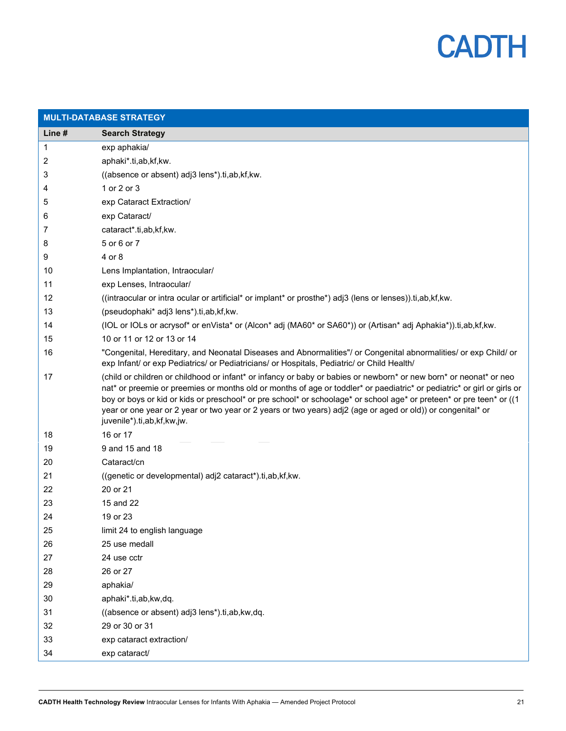

| <b>MULTI-DATABASE STRATEGY</b> |                                                                                                                                                                                                                                                                                                                                                                                                                                                                                                                     |  |
|--------------------------------|---------------------------------------------------------------------------------------------------------------------------------------------------------------------------------------------------------------------------------------------------------------------------------------------------------------------------------------------------------------------------------------------------------------------------------------------------------------------------------------------------------------------|--|
| Line #                         | <b>Search Strategy</b>                                                                                                                                                                                                                                                                                                                                                                                                                                                                                              |  |
| 1                              | exp aphakia/                                                                                                                                                                                                                                                                                                                                                                                                                                                                                                        |  |
| 2                              | aphaki*.ti,ab,kf,kw.                                                                                                                                                                                                                                                                                                                                                                                                                                                                                                |  |
| 3                              | ((absence or absent) adj3 lens*).ti,ab,kf,kw.                                                                                                                                                                                                                                                                                                                                                                                                                                                                       |  |
| 4                              | 1 or 2 or 3                                                                                                                                                                                                                                                                                                                                                                                                                                                                                                         |  |
| 5                              | exp Cataract Extraction/                                                                                                                                                                                                                                                                                                                                                                                                                                                                                            |  |
| 6                              | exp Cataract/                                                                                                                                                                                                                                                                                                                                                                                                                                                                                                       |  |
| 7                              | cataract*.ti,ab,kf,kw.                                                                                                                                                                                                                                                                                                                                                                                                                                                                                              |  |
| 8                              | 5 or 6 or 7                                                                                                                                                                                                                                                                                                                                                                                                                                                                                                         |  |
| 9                              | 4 or 8                                                                                                                                                                                                                                                                                                                                                                                                                                                                                                              |  |
| 10                             | Lens Implantation, Intraocular/                                                                                                                                                                                                                                                                                                                                                                                                                                                                                     |  |
| 11                             | exp Lenses, Intraocular/                                                                                                                                                                                                                                                                                                                                                                                                                                                                                            |  |
| 12                             | ((intraocular or intra ocular or artificial* or implant* or prosthe*) adj3 (lens or lenses)).ti,ab,kf,kw.                                                                                                                                                                                                                                                                                                                                                                                                           |  |
| 13                             | (pseudophaki* adj3 lens*).ti,ab,kf,kw.                                                                                                                                                                                                                                                                                                                                                                                                                                                                              |  |
| 14                             | (IOL or IOLs or acrysof* or enVista* or (Alcon* adj (MA60* or SA60*)) or (Artisan* adj Aphakia*)).ti,ab,kf,kw.                                                                                                                                                                                                                                                                                                                                                                                                      |  |
| 15                             | 10 or 11 or 12 or 13 or 14                                                                                                                                                                                                                                                                                                                                                                                                                                                                                          |  |
| 16                             | "Congenital, Hereditary, and Neonatal Diseases and Abnormalities"/ or Congenital abnormalities/ or exp Child/ or<br>exp Infant/ or exp Pediatrics/ or Pediatricians/ or Hospitals, Pediatric/ or Child Health/                                                                                                                                                                                                                                                                                                      |  |
| 17                             | (child or children or childhood or infant* or infancy or baby or babies or newborn* or new born* or neonat* or neo<br>nat* or preemie or preemies or months old or months of age or toddler* or paediatric* or pediatric* or girl or girls or<br>boy or boys or kid or kids or preschool* or pre school* or schoolage* or school age* or preteen* or pre teen* or ((1<br>year or one year or 2 year or two year or 2 years or two years) adj2 (age or aged or old)) or congenital* or<br>juvenile*).ti,ab,kf,kw,jw. |  |
| 18                             | 16 or 17                                                                                                                                                                                                                                                                                                                                                                                                                                                                                                            |  |
| 19                             | 9 and 15 and 18                                                                                                                                                                                                                                                                                                                                                                                                                                                                                                     |  |
| 20                             | Cataract/cn                                                                                                                                                                                                                                                                                                                                                                                                                                                                                                         |  |
| 21                             | ((genetic or developmental) adj2 cataract*).ti,ab,kf,kw.                                                                                                                                                                                                                                                                                                                                                                                                                                                            |  |
| 22                             | 20 or 21                                                                                                                                                                                                                                                                                                                                                                                                                                                                                                            |  |
| 23                             | 15 and 22                                                                                                                                                                                                                                                                                                                                                                                                                                                                                                           |  |
| 24                             | 19 or 23                                                                                                                                                                                                                                                                                                                                                                                                                                                                                                            |  |
| 25                             | limit 24 to english language                                                                                                                                                                                                                                                                                                                                                                                                                                                                                        |  |
| 26                             | 25 use medall                                                                                                                                                                                                                                                                                                                                                                                                                                                                                                       |  |
| 27                             | 24 use cctr                                                                                                                                                                                                                                                                                                                                                                                                                                                                                                         |  |
| 28                             | 26 or 27                                                                                                                                                                                                                                                                                                                                                                                                                                                                                                            |  |
| 29                             | aphakia/                                                                                                                                                                                                                                                                                                                                                                                                                                                                                                            |  |
| 30                             | aphaki*.ti,ab,kw,dq.                                                                                                                                                                                                                                                                                                                                                                                                                                                                                                |  |
| 31                             | ((absence or absent) adj3 lens*).ti,ab,kw,dq.                                                                                                                                                                                                                                                                                                                                                                                                                                                                       |  |
| 32                             | 29 or 30 or 31                                                                                                                                                                                                                                                                                                                                                                                                                                                                                                      |  |
| 33                             | exp cataract extraction/                                                                                                                                                                                                                                                                                                                                                                                                                                                                                            |  |
| 34                             | exp cataract/                                                                                                                                                                                                                                                                                                                                                                                                                                                                                                       |  |
|                                |                                                                                                                                                                                                                                                                                                                                                                                                                                                                                                                     |  |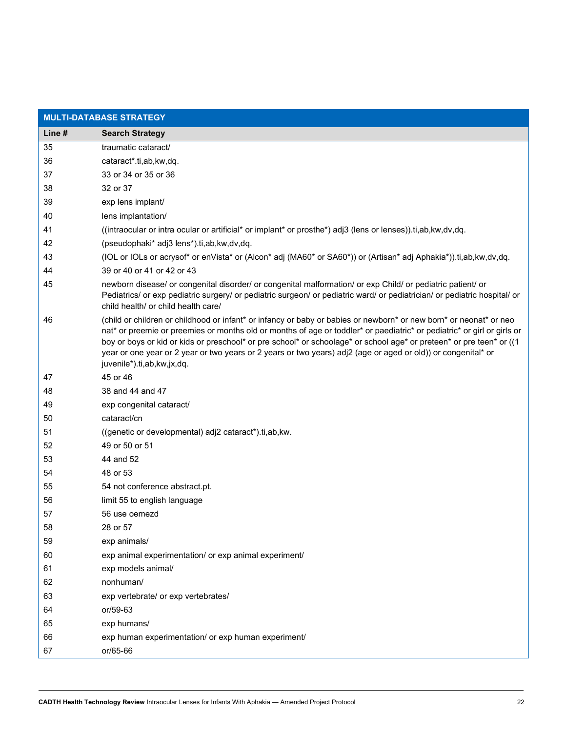| <b>MULTI-DATABASE STRATEGY</b> |                                                                                                                                                                                                                                                                                                                                                                                                                                                                                                                      |  |  |
|--------------------------------|----------------------------------------------------------------------------------------------------------------------------------------------------------------------------------------------------------------------------------------------------------------------------------------------------------------------------------------------------------------------------------------------------------------------------------------------------------------------------------------------------------------------|--|--|
| Line #                         | <b>Search Strategy</b>                                                                                                                                                                                                                                                                                                                                                                                                                                                                                               |  |  |
| 35                             | traumatic cataract/                                                                                                                                                                                                                                                                                                                                                                                                                                                                                                  |  |  |
| 36                             | cataract*.ti,ab,kw,dq.                                                                                                                                                                                                                                                                                                                                                                                                                                                                                               |  |  |
| 37                             | 33 or 34 or 35 or 36                                                                                                                                                                                                                                                                                                                                                                                                                                                                                                 |  |  |
| 38                             | 32 or 37                                                                                                                                                                                                                                                                                                                                                                                                                                                                                                             |  |  |
| 39                             | exp lens implant/                                                                                                                                                                                                                                                                                                                                                                                                                                                                                                    |  |  |
| 40                             | lens implantation/                                                                                                                                                                                                                                                                                                                                                                                                                                                                                                   |  |  |
| 41                             | ((intraocular or intra ocular or artificial* or implant* or prosthe*) adj3 (lens or lenses)).ti,ab,kw,dv,dq.                                                                                                                                                                                                                                                                                                                                                                                                         |  |  |
| 42                             | (pseudophaki* adj3 lens*).ti,ab,kw,dv,dq.                                                                                                                                                                                                                                                                                                                                                                                                                                                                            |  |  |
| 43                             | (IOL or IOLs or acrysof* or enVista* or (Alcon* adj (MA60* or SA60*)) or (Artisan* adj Aphakia*)).ti,ab,kw,dv,dq.                                                                                                                                                                                                                                                                                                                                                                                                    |  |  |
| 44                             | 39 or 40 or 41 or 42 or 43                                                                                                                                                                                                                                                                                                                                                                                                                                                                                           |  |  |
| 45                             | newborn disease/ or congenital disorder/ or congenital malformation/ or exp Child/ or pediatric patient/ or<br>Pediatrics/ or exp pediatric surgery/ or pediatric surgeon/ or pediatric ward/ or pediatrician/ or pediatric hospital/ or<br>child health/ or child health care/                                                                                                                                                                                                                                      |  |  |
| 46                             | (child or children or childhood or infant* or infancy or baby or babies or newborn* or new born* or neonat* or neo<br>nat* or preemie or preemies or months old or months of age or toddler* or paediatric* or pediatric* or girl or girls or<br>boy or boys or kid or kids or preschool* or pre school* or schoolage* or school age* or preteen* or pre teen* or ((1<br>year or one year or 2 year or two years or 2 years or two years) adj2 (age or aged or old)) or congenital* or<br>juvenile*).ti,ab,kw,jx,dq. |  |  |
| 47                             | 45 or 46                                                                                                                                                                                                                                                                                                                                                                                                                                                                                                             |  |  |
| 48                             | 38 and 44 and 47                                                                                                                                                                                                                                                                                                                                                                                                                                                                                                     |  |  |
| 49                             | exp congenital cataract/                                                                                                                                                                                                                                                                                                                                                                                                                                                                                             |  |  |
| 50                             | cataract/cn                                                                                                                                                                                                                                                                                                                                                                                                                                                                                                          |  |  |
| 51                             | ((genetic or developmental) adj2 cataract*).ti,ab,kw.                                                                                                                                                                                                                                                                                                                                                                                                                                                                |  |  |
| 52                             | 49 or 50 or 51                                                                                                                                                                                                                                                                                                                                                                                                                                                                                                       |  |  |
| 53                             | 44 and 52                                                                                                                                                                                                                                                                                                                                                                                                                                                                                                            |  |  |
| 54                             | 48 or 53                                                                                                                                                                                                                                                                                                                                                                                                                                                                                                             |  |  |
| 55                             | 54 not conference abstract.pt.                                                                                                                                                                                                                                                                                                                                                                                                                                                                                       |  |  |
| 56                             | limit 55 to english language                                                                                                                                                                                                                                                                                                                                                                                                                                                                                         |  |  |
| 57                             | 56 use oemezd                                                                                                                                                                                                                                                                                                                                                                                                                                                                                                        |  |  |
| 58                             | 28 or 57                                                                                                                                                                                                                                                                                                                                                                                                                                                                                                             |  |  |
| 59                             | exp animals/                                                                                                                                                                                                                                                                                                                                                                                                                                                                                                         |  |  |
| 60                             | exp animal experimentation/ or exp animal experiment/                                                                                                                                                                                                                                                                                                                                                                                                                                                                |  |  |
| 61                             | exp models animal/                                                                                                                                                                                                                                                                                                                                                                                                                                                                                                   |  |  |
| 62                             | nonhuman/                                                                                                                                                                                                                                                                                                                                                                                                                                                                                                            |  |  |
| 63                             | exp vertebrate/ or exp vertebrates/                                                                                                                                                                                                                                                                                                                                                                                                                                                                                  |  |  |
| 64                             | or/59-63                                                                                                                                                                                                                                                                                                                                                                                                                                                                                                             |  |  |
| 65                             | exp humans/                                                                                                                                                                                                                                                                                                                                                                                                                                                                                                          |  |  |
| 66                             | exp human experimentation/ or exp human experiment/                                                                                                                                                                                                                                                                                                                                                                                                                                                                  |  |  |
| 67                             | or/65-66                                                                                                                                                                                                                                                                                                                                                                                                                                                                                                             |  |  |
|                                |                                                                                                                                                                                                                                                                                                                                                                                                                                                                                                                      |  |  |